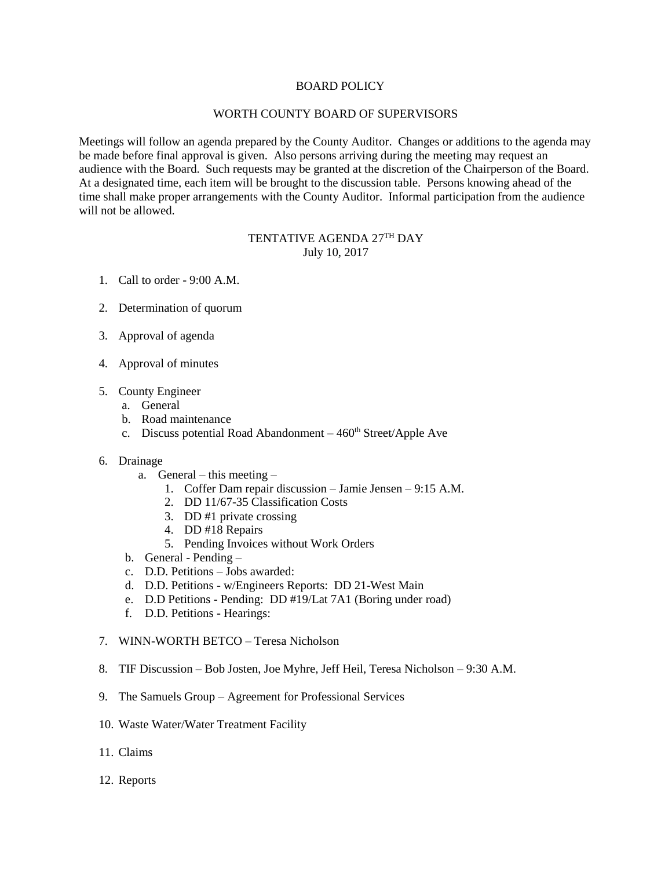## BOARD POLICY

## WORTH COUNTY BOARD OF SUPERVISORS

Meetings will follow an agenda prepared by the County Auditor. Changes or additions to the agenda may be made before final approval is given. Also persons arriving during the meeting may request an audience with the Board. Such requests may be granted at the discretion of the Chairperson of the Board. At a designated time, each item will be brought to the discussion table. Persons knowing ahead of the time shall make proper arrangements with the County Auditor. Informal participation from the audience will not be allowed.

## TENTATIVE AGENDA 27TH DAY July 10, 2017

- 1. Call to order 9:00 A.M.
- 2. Determination of quorum
- 3. Approval of agenda
- 4. Approval of minutes
- 5. County Engineer
	- a. General
	- b. Road maintenance
	- c. Discuss potential Road Abandonment  $-460<sup>th</sup> Street/Apple$  Ave
- 6. Drainage
	- a. General this meeting
		- 1. Coffer Dam repair discussion Jamie Jensen 9:15 A.M.
		- 2. DD 11/67-35 Classification Costs
		- 3. DD #1 private crossing
		- 4. DD #18 Repairs
		- 5. Pending Invoices without Work Orders
	- b. General Pending –
	- c. D.D. Petitions Jobs awarded:
	- d. D.D. Petitions w/Engineers Reports: DD 21-West Main
	- e. D.D Petitions Pending: DD #19/Lat 7A1 (Boring under road)
	- f. D.D. Petitions Hearings:
- 7. WINN-WORTH BETCO Teresa Nicholson
- 8. TIF Discussion Bob Josten, Joe Myhre, Jeff Heil, Teresa Nicholson 9:30 A.M.
- 9. The Samuels Group Agreement for Professional Services
- 10. Waste Water/Water Treatment Facility
- 11. Claims
- 12. Reports